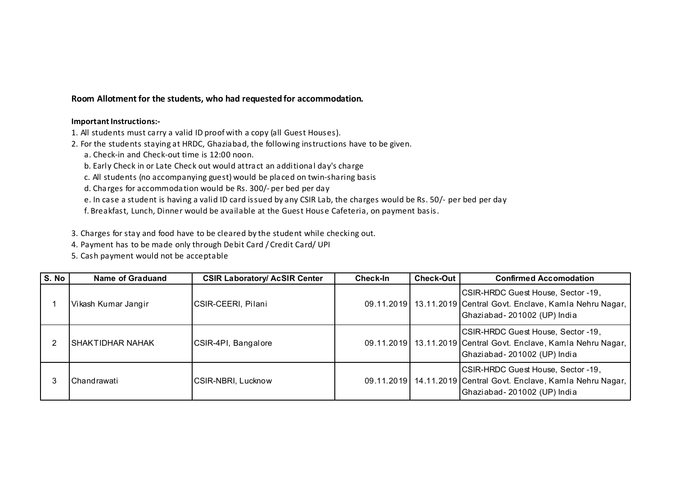Room Allotment for the students, who had requested for accommodation.

## Important Instructions:-

- 1. All students must carry a valid ID proof with a copy (all Guest Houses).
- 2. For the students staying at HRDC, Ghaziabad, the following instructions have to be given.
	- a. Check-in and Check-out time is 12:00 noon.
	- b. Early Check in or Late Check out would attract an additional day's charge
	- c. All students (no accompanying guest) would be placed on twin-sharing basis
	- d. Charges for accommodation would be Rs. 300/- per bed per day
	- e. In case a student is having a valid ID card issued by any CSIR Lab, the charges would be Rs. 50/- per bed per day
	- f. Breakfast, Lunch, Dinner would be available at the Guest House Cafeteria, on payment basis.
- 3. Charges for stay and food have to be cleared by the student while checking out.
- 4. Payment has to be made only through Debit Card / Credit Card/ UPI
- 5. Cash payment would not be acceptable

| S. No | <b>Name of Graduand</b> | <b>CSIR Laboratory/ AcSIR Center</b> | Check-In | <b>Check-Out</b> | <b>Confirmed Accomodation</b>                                                                                                            |
|-------|-------------------------|--------------------------------------|----------|------------------|------------------------------------------------------------------------------------------------------------------------------------------|
|       | Vikash Kumar Jangir     | CSIR-CEERI, Pilani                   |          |                  | CSIR-HRDC Guest House, Sector -19,<br>09.11.2019   13.11.2019 Central Govt. Enclave, Kamla Nehru Nagar,<br>Ghaziabad-201002 (UP) India   |
|       | ISHAKTIDHAR NAHAK       | CSIR-4PI, Bangalore                  |          |                  | CSIR-HRDC Guest House, Sector -19,<br>09.11.2019   13.11.2019 Central Govt. Enclave, Kamla Nehru Nagar,<br>Ghaziabad-201002 (UP) India   |
| 3     | Chandrawati             | CSIR-NBRI, Lucknow                   |          |                  | CSIR-HRDC Guest House, Sector -19,<br>09.11.2019   14.11.2019   Central Govt. Enclave, Kamla Nehru Nagar,<br>Ghaziabad-201002 (UP) India |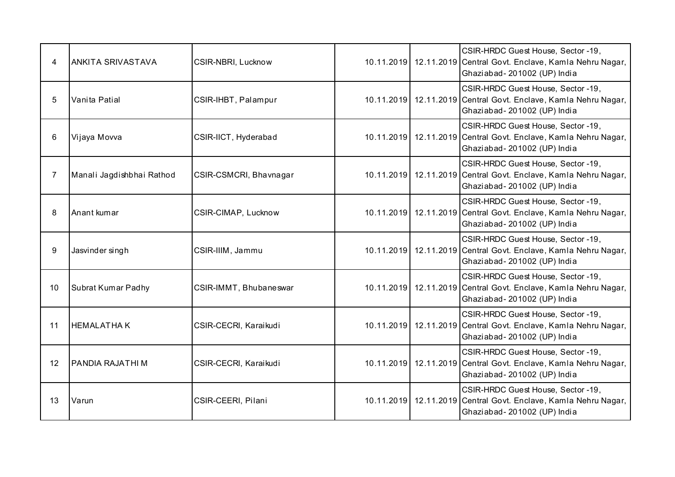| 4              | <b>ANKITA SRIVASTAVA</b>  | CSIR-NBRI, Lucknow     |  | CSIR-HRDC Guest House, Sector -19,<br>10.11.2019 12.11.2019 Central Govt. Enclave, Kamla Nehru Nagar,<br>Ghaziabad-201002 (UP) India   |
|----------------|---------------------------|------------------------|--|----------------------------------------------------------------------------------------------------------------------------------------|
| 5              | Vanita Patial             | CSIR-IHBT, Palampur    |  | CSIR-HRDC Guest House, Sector -19,<br>10.11.2019 12.11.2019 Central Govt. Enclave, Kamla Nehru Nagar,<br>Ghaziabad-201002 (UP) India   |
| 6              | Vijaya Movva              | CSIR-IICT, Hyderabad   |  | CSIR-HRDC Guest House, Sector -19,<br>10.11.2019 12.11.2019 Central Govt. Enclave, Kamla Nehru Nagar,<br>Ghaziabad-201002 (UP) India   |
| $\overline{7}$ | Manali Jagdishbhai Rathod | CSIR-CSMCRI, Bhavnagar |  | CSIR-HRDC Guest House, Sector -19,<br>10.11.2019   12.11.2019 Central Govt. Enclave, Kamla Nehru Nagar,<br>Ghaziabad-201002 (UP) India |
| 8              | Anant kumar               | CSIR-CIMAP, Lucknow    |  | CSIR-HRDC Guest House, Sector -19,<br>10.11.2019   12.11.2019 Central Govt. Enclave, Kamla Nehru Nagar,<br>Ghaziabad-201002 (UP) India |
| 9              | Jasvinder singh           | CSIR-IIIM, Jammu       |  | CSIR-HRDC Guest House, Sector -19,<br>10.11.2019 12.11.2019 Central Govt. Enclave, Kamla Nehru Nagar,<br>Ghaziabad-201002 (UP) India   |
| 10             | Subrat Kumar Padhy        | CSIR-IMMT, Bhubaneswar |  | CSIR-HRDC Guest House, Sector -19,<br>10.11.2019 12.11.2019 Central Govt. Enclave, Kamla Nehru Nagar,<br>Ghaziabad-201002 (UP) India   |
| 11             | <b>HEMALATHAK</b>         | CSIR-CECRI, Karaikudi  |  | CSIR-HRDC Guest House, Sector -19,<br>10.11.2019 12.11.2019 Central Govt. Enclave, Kamla Nehru Nagar,<br>Ghaziabad-201002 (UP) India   |
| 12             | <b>PANDIA RAJATHI M</b>   | CSIR-CECRI, Karaikudi  |  | CSIR-HRDC Guest House, Sector -19,<br>10.11.2019 12.11.2019 Central Govt. Enclave, Kamla Nehru Nagar,<br>Ghaziabad-201002 (UP) India   |
| 13             | Varun                     | CSIR-CEERI, Pilani     |  | CSIR-HRDC Guest House, Sector -19,<br>10.11.2019 12.11.2019 Central Govt. Enclave, Kamla Nehru Nagar,<br>Ghaziabad-201002 (UP) India   |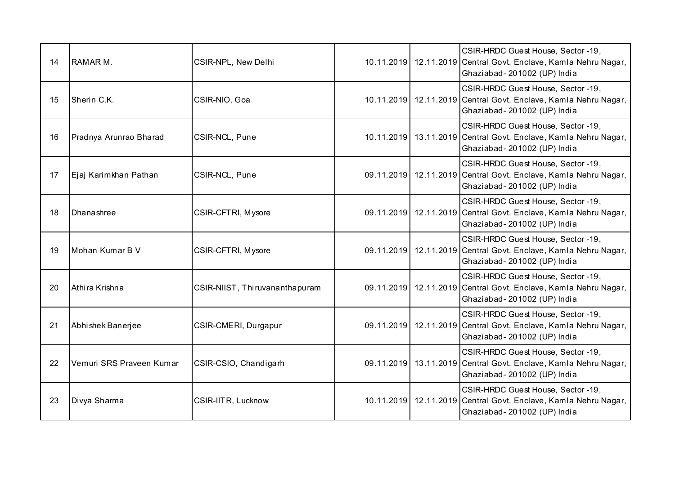| 14 | RAMAR M.                 | CSIR-NPL, New Delhi            |  | CSIR-HRDC Guest House, Sector -19,<br>10.11.2019 12.11.2019 Central Govt. Enclave, Kamla Nehru Nagar,<br>Ghaziabad-201002 (UP) India     |
|----|--------------------------|--------------------------------|--|------------------------------------------------------------------------------------------------------------------------------------------|
| 15 | Sherin C.K.              | CSIR-NIO, Goa                  |  | CSIR-HRDC Guest House, Sector -19,<br>10.11.2019 12.11.2019 Central Govt. Enclave, Kamla Nehru Nagar,<br>Ghaziabad-201002 (UP) India     |
| 16 | Pradnya Arunrao Bharad   | CSIR-NCL, Pune                 |  | CSIR-HRDC Guest House, Sector -19,<br>10.11.2019   13.11.2019 Central Govt. Enclave, Kamla Nehru Nagar,<br>Ghaziabad-201002 (UP) India   |
| 17 | Ejaj Karimkhan Pathan    | CSIR-NCL, Pune                 |  | CSIR-HRDC Guest House, Sector -19,<br>09.11.2019   12.11.2019 Central Govt. Enclave, Kamla Nehru Nagar,<br>Ghaziabad-201002 (UP) India   |
| 18 | Dhanashree               | CSIR-CFTRI, Mysore             |  | CSIR-HRDC Guest House, Sector -19,<br>09.11.2019 12.11.2019 Central Govt. Enclave, Kamla Nehru Nagar,<br>Ghaziabad-201002 (UP) India     |
| 19 | Mohan Kumar B V          | CSIR-CFTRI, Mysore             |  | CSIR-HRDC Guest House, Sector -19,<br>09.11.2019 12.11.2019 Central Govt. Enclave, Kamla Nehru Nagar,<br>Ghaziabad-201002 (UP) India     |
| 20 | Athira Krishna           | CSIR-NIIST, Thiruvananthapuram |  | CSIR-HRDC Guest House, Sector -19,<br>09.11.2019 12.11.2019 Central Govt. Enclave, Kamla Nehru Nagar,<br>Ghaziabad-201002 (UP) India     |
| 21 | Abhishek Banerjee        | CSIR-CMERI, Durgapur           |  | CSIR-HRDC Guest House, Sector -19,<br>09.11.2019 12.11.2019 Central Govt. Enclave, Kamla Nehru Nagar,<br>Ghaziabad-201002 (UP) India     |
| 22 | Vemuri SRS Praveen Kumar | CSIR-CSIO, Chandigarh          |  | CSIR-HRDC Guest House, Sector -19,<br>09.11.2019   13.11.2019 Central Govt. Enclave, Kamla Nehru Nagar,<br>Ghaziabad-201002 (UP) India   |
| 23 | Divya Sharma             | CSIR-IITR, Lucknow             |  | CSIR-HRDC Guest House, Sector -19,<br>10.11.2019   12.11.2019   Central Govt. Enclave, Kamla Nehru Nagar,<br>Ghaziabad-201002 (UP) India |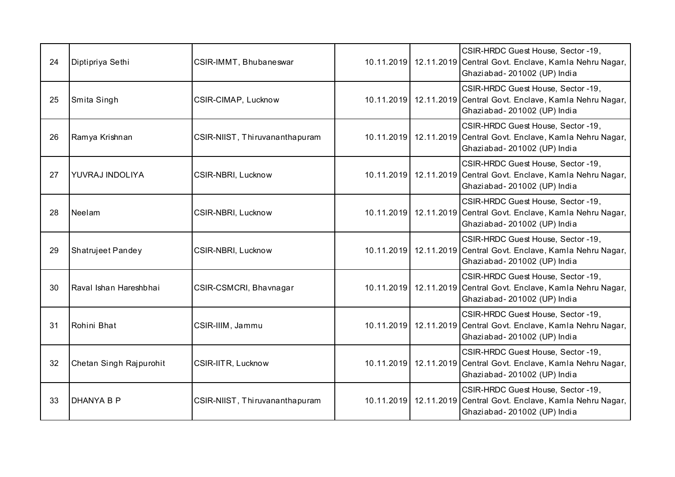| 24 | Diptipriya Sethi        | CSIR-IMMT, Bhubaneswar         |  | CSIR-HRDC Guest House, Sector -19,<br>10.11.2019 12.11.2019 Central Govt. Enclave, Kamla Nehru Nagar,<br>Ghaziabad-201002 (UP) India   |
|----|-------------------------|--------------------------------|--|----------------------------------------------------------------------------------------------------------------------------------------|
| 25 | Smita Singh             | CSIR-CIMAP, Lucknow            |  | CSIR-HRDC Guest House, Sector -19,<br>10.11.2019 12.11.2019 Central Govt. Enclave, Kamla Nehru Nagar,<br>Ghaziabad-201002 (UP) India   |
| 26 | Ramya Krishnan          | CSIR-NIIST, Thiruvananthapuram |  | CSIR-HRDC Guest House, Sector -19,<br>10.11.2019 12.11.2019 Central Govt. Enclave, Kamla Nehru Nagar,<br>Ghaziabad-201002 (UP) India   |
| 27 | YUVRAJ INDOLIYA         | CSIR-NBRI, Lucknow             |  | CSIR-HRDC Guest House, Sector -19,<br>10.11.2019   12.11.2019 Central Govt. Enclave, Kamla Nehru Nagar,<br>Ghaziabad-201002 (UP) India |
| 28 | Neelam                  | CSIR-NBRI, Lucknow             |  | CSIR-HRDC Guest House, Sector -19,<br>10.11.2019 12.11.2019 Central Govt. Enclave, Kamla Nehru Nagar,<br>Ghaziabad-201002 (UP) India   |
| 29 | Shatrujeet Pandey       | CSIR-NBRI, Lucknow             |  | CSIR-HRDC Guest House, Sector -19,<br>10.11.2019   12.11.2019 Central Govt. Enclave, Kamla Nehru Nagar,<br>Ghaziabad-201002 (UP) India |
| 30 | Raval Ishan Hareshbhai  | CSIR-CSMCRI, Bhavnagar         |  | CSIR-HRDC Guest House, Sector -19,<br>10.11.2019 12.11.2019 Central Govt. Enclave, Kamla Nehru Nagar,<br>Ghaziabad-201002 (UP) India   |
| 31 | Rohini Bhat             | CSIR-IIIM, Jammu               |  | CSIR-HRDC Guest House, Sector -19,<br>10.11.2019   12.11.2019 Central Govt. Enclave, Kamla Nehru Nagar,<br>Ghaziabad-201002 (UP) India |
| 32 | Chetan Singh Rajpurohit | CSIR-IITR, Lucknow             |  | CSIR-HRDC Guest House, Sector -19,<br>10.11.2019 12.11.2019 Central Govt. Enclave, Kamla Nehru Nagar,<br>Ghaziabad-201002 (UP) India   |
| 33 | <b>DHANYA B P</b>       | CSIR-NIIST, Thiruvananthapuram |  | CSIR-HRDC Guest House, Sector -19,<br>10.11.2019   12.11.2019 Central Govt. Enclave, Kamla Nehru Nagar,<br>Ghaziabad-201002 (UP) India |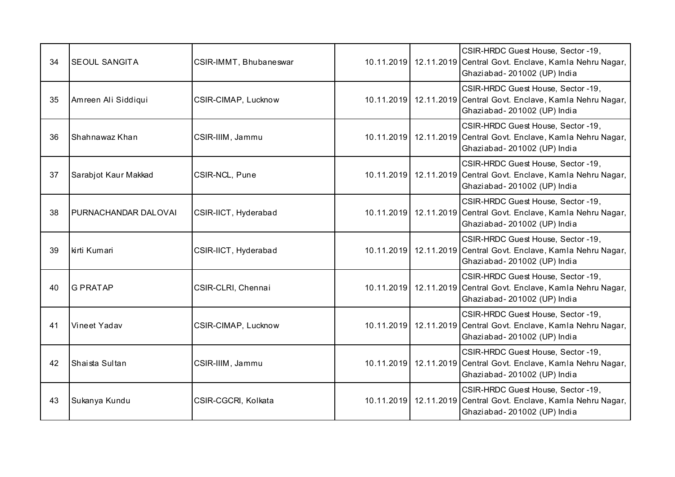| 34 | <b>SEOUL SANGITA</b>        | CSIR-IMMT, Bhubaneswar |  | CSIR-HRDC Guest House, Sector -19,<br>10.11.2019 12.11.2019 Central Govt. Enclave, Kamla Nehru Nagar,<br>Ghaziabad-201002 (UP) India   |
|----|-----------------------------|------------------------|--|----------------------------------------------------------------------------------------------------------------------------------------|
| 35 | Amreen Ali Siddiqui         | CSIR-CIMAP, Lucknow    |  | CSIR-HRDC Guest House, Sector -19,<br>10.11.2019   12.11.2019 Central Govt. Enclave, Kamla Nehru Nagar,<br>Ghaziabad-201002 (UP) India |
| 36 | Shahnawaz Khan              | CSIR-IIIM, Jammu       |  | CSIR-HRDC Guest House, Sector -19,<br>10.11.2019 12.11.2019 Central Govt. Enclave, Kamla Nehru Nagar,<br>Ghaziabad-201002 (UP) India   |
| 37 | Sarabjot Kaur Makkad        | CSIR-NCL, Pune         |  | CSIR-HRDC Guest House, Sector -19,<br>10.11.2019 12.11.2019 Central Govt. Enclave, Kamla Nehru Nagar,<br>Ghaziabad-201002 (UP) India   |
| 38 | <b>PURNACHANDAR DALOVAI</b> | CSIR-IICT, Hyderabad   |  | CSIR-HRDC Guest House, Sector -19,<br>10.11.2019   12.11.2019 Central Govt. Enclave, Kamla Nehru Nagar,<br>Ghaziabad-201002 (UP) India |
| 39 | kirti Kumari                | CSIR-IICT, Hyderabad   |  | CSIR-HRDC Guest House, Sector -19,<br>10.11.2019 12.11.2019 Central Govt. Enclave, Kamla Nehru Nagar,<br>Ghaziabad-201002 (UP) India   |
| 40 | <b>G PRATAP</b>             | CSIR-CLRI, Chennai     |  | CSIR-HRDC Guest House, Sector -19,<br>10.11.2019 12.11.2019 Central Govt. Enclave, Kamla Nehru Nagar,<br>Ghaziabad-201002 (UP) India   |
| 41 | Vineet Yadav                | CSIR-CIMAP, Lucknow    |  | CSIR-HRDC Guest House, Sector -19,<br>10.11.2019   12.11.2019 Central Govt. Enclave, Kamla Nehru Nagar,<br>Ghaziabad-201002 (UP) India |
| 42 | Shaista Sultan              | CSIR-IIIM, Jammu       |  | CSIR-HRDC Guest House, Sector -19,<br>10.11.2019 12.11.2019 Central Govt. Enclave, Kamla Nehru Nagar,<br>Ghaziabad-201002 (UP) India   |
| 43 | Sukanya Kundu               | CSIR-CGCRI, Kolkata    |  | CSIR-HRDC Guest House, Sector -19,<br>10.11.2019   12.11.2019 Central Govt. Enclave, Kamla Nehru Nagar,<br>Ghaziabad-201002 (UP) India |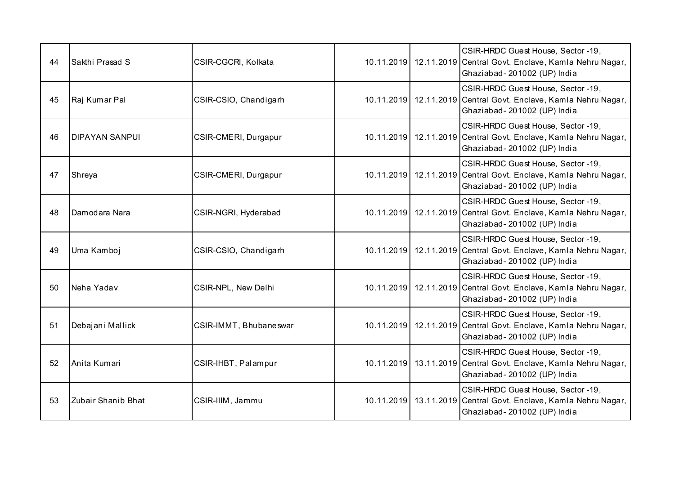| 44 | Sakthi Prasad S       | CSIR-CGCRI, Kolkata    |  | CSIR-HRDC Guest House, Sector -19,<br>10.11.2019 12.11.2019 Central Govt. Enclave, Kamla Nehru Nagar,<br>Ghaziabad-201002 (UP) India   |
|----|-----------------------|------------------------|--|----------------------------------------------------------------------------------------------------------------------------------------|
| 45 | Raj Kumar Pal         | CSIR-CSIO, Chandigarh  |  | CSIR-HRDC Guest House, Sector -19,<br>10.11.2019   12.11.2019 Central Govt. Enclave, Kamla Nehru Nagar,<br>Ghaziabad-201002 (UP) India |
| 46 | <b>DIPAYAN SANPUI</b> | CSIR-CMERI, Durgapur   |  | CSIR-HRDC Guest House, Sector -19,<br>10.11.2019 12.11.2019 Central Govt. Enclave, Kamla Nehru Nagar,<br>Ghaziabad-201002 (UP) India   |
| 47 | Shreya                | CSIR-CMERI, Durgapur   |  | CSIR-HRDC Guest House, Sector -19,<br>10.11.2019   12.11.2019 Central Govt. Enclave, Kamla Nehru Nagar,<br>Ghaziabad-201002 (UP) India |
| 48 | Damodara Nara         | CSIR-NGRI, Hyderabad   |  | CSIR-HRDC Guest House, Sector -19,<br>10.11.2019   12.11.2019 Central Govt. Enclave, Kamla Nehru Nagar,<br>Ghaziabad-201002 (UP) India |
| 49 | Uma Kamboj            | CSIR-CSIO, Chandigarh  |  | CSIR-HRDC Guest House, Sector -19,<br>10.11.2019 12.11.2019 Central Govt. Enclave, Kamla Nehru Nagar,<br>Ghaziabad-201002 (UP) India   |
| 50 | Neha Yadav            | CSIR-NPL, New Delhi    |  | CSIR-HRDC Guest House, Sector -19,<br>10.11.2019 12.11.2019 Central Govt. Enclave, Kamla Nehru Nagar,<br>Ghaziabad-201002 (UP) India   |
| 51 | Debajani Mallick      | CSIR-IMMT, Bhubaneswar |  | CSIR-HRDC Guest House, Sector -19,<br>10.11.2019 12.11.2019 Central Govt. Enclave, Kamla Nehru Nagar,<br>Ghaziabad-201002 (UP) India   |
| 52 | Anita Kumari          | CSIR-IHBT, Palampur    |  | CSIR-HRDC Guest House, Sector -19,<br>10.11.2019   13.11.2019 Central Govt. Enclave, Kamla Nehru Nagar,<br>Ghaziabad-201002 (UP) India |
| 53 | Zubair Shanib Bhat    | CSIR-IIIM, Jammu       |  | CSIR-HRDC Guest House, Sector -19,<br>10.11.2019   13.11.2019 Central Govt. Enclave, Kamla Nehru Nagar,<br>Ghaziabad-201002 (UP) India |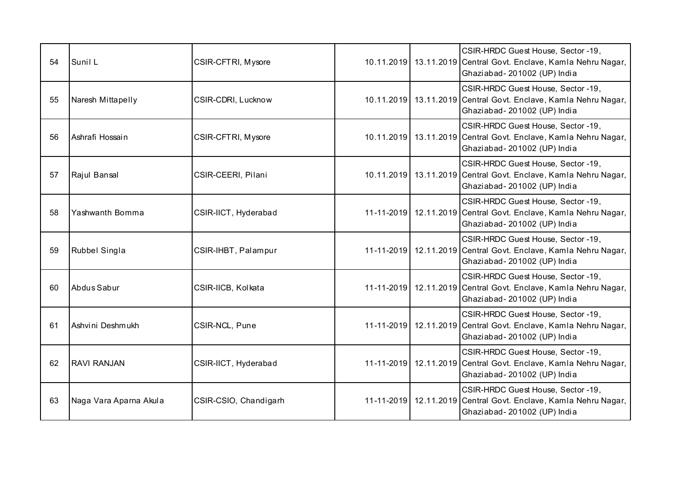| 54 | Sunil L                | CSIR-CFTRI, Mysore    |  | CSIR-HRDC Guest House, Sector -19,<br>10.11.2019 13.11.2019 Central Govt. Enclave, Kamla Nehru Nagar,<br>Ghaziabad-201002 (UP) India   |
|----|------------------------|-----------------------|--|----------------------------------------------------------------------------------------------------------------------------------------|
| 55 | Naresh Mittapelly      | CSIR-CDRI, Lucknow    |  | CSIR-HRDC Guest House, Sector -19,<br>10.11.2019   13.11.2019 Central Govt. Enclave, Kamla Nehru Nagar,<br>Ghaziabad-201002 (UP) India |
| 56 | Ashrafi Hossain        | CSIR-CFTRI, Mysore    |  | CSIR-HRDC Guest House, Sector -19,<br>10.11.2019 13.11.2019 Central Govt. Enclave, Kamla Nehru Nagar,<br>Ghaziabad-201002 (UP) India   |
| 57 | Rajul Bansal           | CSIR-CEERI, Pilani    |  | CSIR-HRDC Guest House, Sector -19,<br>10.11.2019   13.11.2019 Central Govt. Enclave, Kamla Nehru Nagar,<br>Ghaziabad-201002 (UP) India |
| 58 | Yashwanth Bomma        | CSIR-IICT, Hyderabad  |  | CSIR-HRDC Guest House, Sector -19,<br>11-11-2019 12.11.2019 Central Govt. Enclave, Kamla Nehru Nagar,<br>Ghaziabad-201002 (UP) India   |
| 59 | Rubbel Singla          | CSIR-IHBT, Palampur   |  | CSIR-HRDC Guest House, Sector -19,<br>11-11-2019 12.11.2019 Central Govt. Enclave, Kamla Nehru Nagar,<br>Ghaziabad-201002 (UP) India   |
| 60 | Abdus Sabur            | CSIR-IICB, Kolkata    |  | CSIR-HRDC Guest House, Sector -19,<br>11-11-2019 12.11.2019 Central Govt. Enclave, Kamla Nehru Nagar,<br>Ghaziabad-201002 (UP) India   |
| 61 | Ashvini Deshmukh       | CSIR-NCL, Pune        |  | CSIR-HRDC Guest House, Sector -19,<br>11-11-2019   12.11.2019 Central Govt. Enclave, Kamla Nehru Nagar,<br>Ghaziabad-201002 (UP) India |
| 62 | <b>RAVI RANJAN</b>     | CSIR-IICT, Hyderabad  |  | CSIR-HRDC Guest House, Sector -19,<br>11-11-2019 12.11.2019 Central Govt. Enclave, Kamla Nehru Nagar,<br>Ghaziabad-201002 (UP) India   |
| 63 | Naga Vara Aparna Akula | CSIR-CSIO, Chandigarh |  | CSIR-HRDC Guest House, Sector -19,<br>11-11-2019 12.11.2019 Central Govt. Enclave, Kamla Nehru Nagar,<br>Ghaziabad-201002 (UP) India   |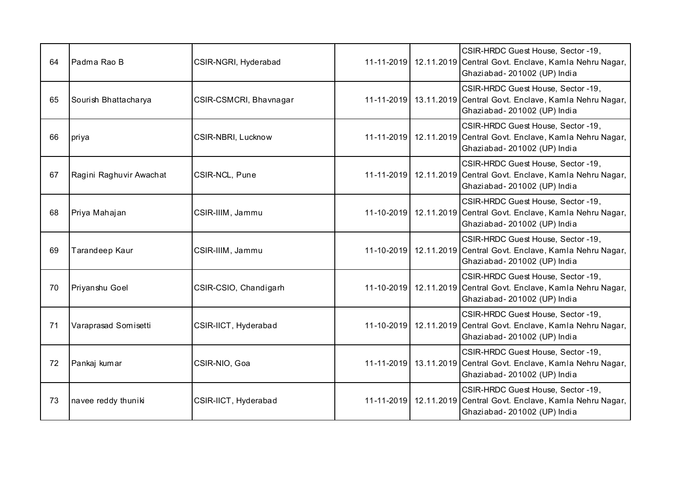| 64 | Padma Rao B             | CSIR-NGRI, Hyderabad   |  | CSIR-HRDC Guest House, Sector -19,<br>11-11-2019 12.11.2019 Central Govt. Enclave, Kamla Nehru Nagar,<br>Ghaziabad-201002 (UP) India   |
|----|-------------------------|------------------------|--|----------------------------------------------------------------------------------------------------------------------------------------|
| 65 | Sourish Bhattacharya    | CSIR-CSMCRI, Bhavnagar |  | CSIR-HRDC Guest House, Sector -19,<br>11-11-2019 13.11.2019 Central Govt. Enclave, Kamla Nehru Nagar,<br>Ghaziabad-201002 (UP) India   |
| 66 | priya                   | CSIR-NBRI, Lucknow     |  | CSIR-HRDC Guest House, Sector -19,<br>11-11-2019   12.11.2019 Central Govt. Enclave, Kamla Nehru Nagar,<br>Ghaziabad-201002 (UP) India |
| 67 | Ragini Raghuvir Awachat | CSIR-NCL, Pune         |  | CSIR-HRDC Guest House, Sector -19,<br>11-11-2019   12.11.2019 Central Govt. Enclave, Kamla Nehru Nagar,<br>Ghaziabad-201002 (UP) India |
| 68 | Priya Mahajan           | CSIR-IIIM, Jammu       |  | CSIR-HRDC Guest House, Sector -19,<br>11-10-2019 12.11.2019 Central Govt. Enclave, Kamla Nehru Nagar,<br>Ghaziabad-201002 (UP) India   |
| 69 | Tarandeep Kaur          | CSIR-IIIM, Jammu       |  | CSIR-HRDC Guest House, Sector -19,<br>11-10-2019 12.11.2019 Central Govt. Enclave, Kamla Nehru Nagar,<br>Ghaziabad-201002 (UP) India   |
| 70 | Priyanshu Goel          | CSIR-CSIO, Chandigarh  |  | CSIR-HRDC Guest House, Sector -19,<br>11-10-2019 12.11.2019 Central Govt. Enclave, Kamla Nehru Nagar,<br>Ghaziabad-201002 (UP) India   |
| 71 | Varaprasad Somisetti    | CSIR-IICT, Hyderabad   |  | CSIR-HRDC Guest House, Sector -19,<br>11-10-2019 12.11.2019 Central Govt. Enclave, Kamla Nehru Nagar,<br>Ghaziabad-201002 (UP) India   |
| 72 | Pankaj kumar            | CSIR-NIO, Goa          |  | CSIR-HRDC Guest House, Sector -19,<br>11-11-2019 13.11.2019 Central Govt. Enclave, Kamla Nehru Nagar,<br>Ghaziabad-201002 (UP) India   |
| 73 | navee reddy thuniki     | CSIR-IICT, Hyderabad   |  | CSIR-HRDC Guest House, Sector -19,<br>11-11-2019 12.11.2019 Central Govt. Enclave, Kamla Nehru Nagar,<br>Ghaziabad-201002 (UP) India   |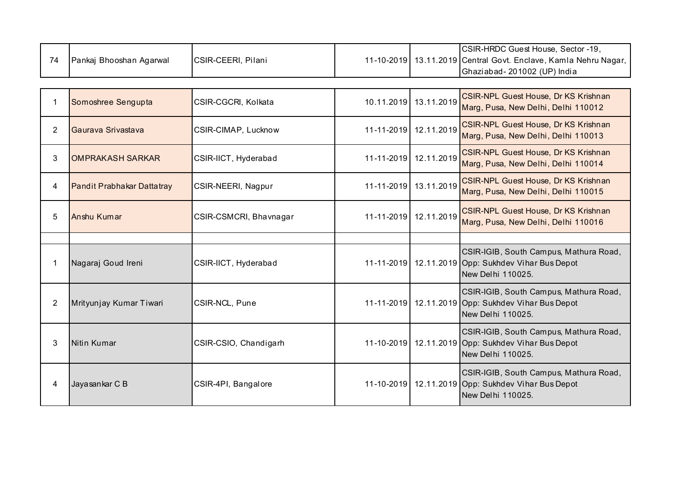| 74             | Pankaj Bhooshan Agarwal    | CSIR-CEERI, Pilani     |                  |                       | CSIR-HRDC Guest House, Sector -19,<br>11-10-2019 13.11.2019 Central Govt. Enclave, Kamla Nehru Nagar,<br>Ghaziabad-201002 (UP) India |
|----------------|----------------------------|------------------------|------------------|-----------------------|--------------------------------------------------------------------------------------------------------------------------------------|
|                |                            |                        |                  |                       |                                                                                                                                      |
| $\mathbf 1$    | Somoshree Sengupta         | CSIR-CGCRI, Kolkata    |                  | 10.11.2019 13.11.2019 | <b>CSIR-NPL Guest House, Dr KS Krishnan</b><br>Marg, Pusa, New Delhi, Delhi 110012                                                   |
| $\overline{2}$ | Gaurava Srivastava         | CSIR-CIMAP, Lucknow    | $11 - 11 - 2019$ | 12.11.2019            | <b>CSIR-NPL Guest House, Dr KS Krishnan</b><br>Marg, Pusa, New Delhi, Delhi 110013                                                   |
| 3              | <b>OMPRAKASH SARKAR</b>    | CSIR-IICT, Hyderabad   |                  | 11-11-2019 12.11.2019 | <b>CSIR-NPL Guest House, Dr KS Krishnan</b><br>Marg, Pusa, New Delhi, Delhi 110014                                                   |
| 4              | Pandit Prabhakar Dattatray | CSIR-NEERI, Nagpur     |                  | 11-11-2019 13.11.2019 | <b>CSIR-NPL Guest House, Dr KS Krishnan</b><br>Marg, Pusa, New Delhi, Delhi 110015                                                   |
| 5              | Anshu Kumar                | CSIR-CSMCRI, Bhavnagar |                  | 11-11-2019 12.11.2019 | <b>CSIR-NPL Guest House, Dr KS Krishnan</b><br>Marg, Pusa, New Delhi, Delhi 110016                                                   |
|                |                            |                        |                  |                       |                                                                                                                                      |
| 1              | Nagaraj Goud Ireni         | CSIR-IICT, Hyderabad   |                  |                       | CSIR-IGIB, South Campus, Mathura Road,<br>11-11-2019 12.11.2019 Opp: Sukhdev Vihar Bus Depot<br>New Delhi 110025.                    |
| $\overline{2}$ | Mrityunjay Kumar Tiwari    | CSIR-NCL, Pune         |                  |                       | CSIR-IGIB, South Campus, Mathura Road,<br>11-11-2019 12.11.2019 Opp: Sukhdev Vihar Bus Depot<br>New Delhi 110025.                    |
| 3              | Nitin Kumar                | CSIR-CSIO, Chandigarh  |                  |                       | CSIR-IGIB, South Campus, Mathura Road,<br>11-10-2019 12.11.2019 Opp: Sukhdev Vihar Bus Depot<br>New Delhi 110025.                    |
| 4              | Jayasankar C B             | CSIR-4PI, Bangalore    |                  |                       | CSIR-IGIB, South Campus, Mathura Road,<br>11-10-2019 12.11.2019 Opp: Sukhdev Vihar Bus Depot<br>New Delhi 110025.                    |